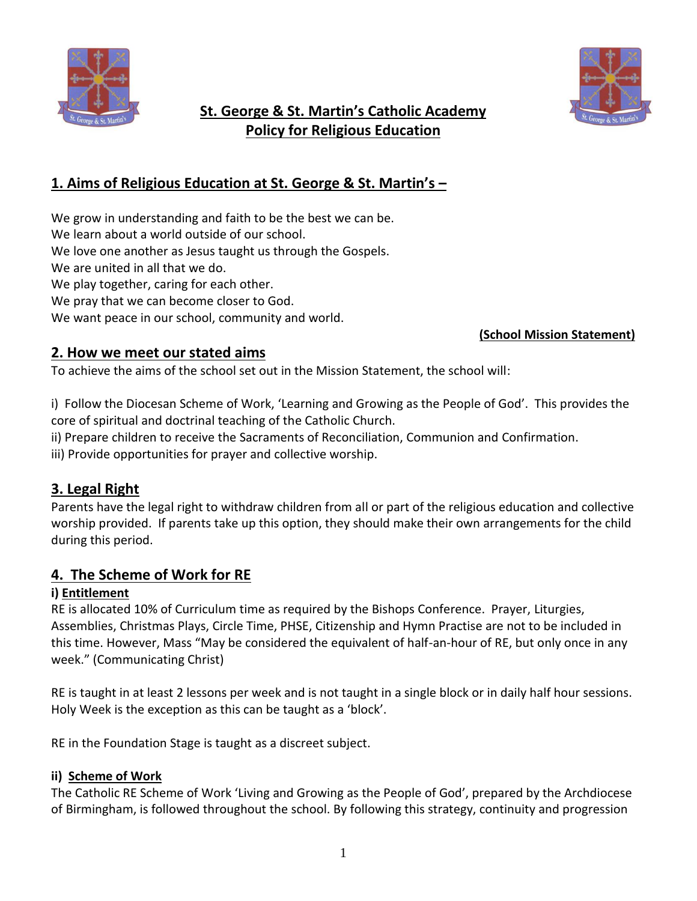



# **St. George & St. Martin's Catholic Academy Policy for Religious Education**

# **1. Aims of Religious Education at St. George & St. Martin's –**

We grow in understanding and faith to be the best we can be. We learn about a world outside of our school. We love one another as Jesus taught us through the Gospels. We are united in all that we do. We play together, caring for each other.

We pray that we can become closer to God.

We want peace in our school, community and world.

## **(School Mission Statement)**

## **2. How we meet our stated aims**

To achieve the aims of the school set out in the Mission Statement, the school will:

i) Follow the Diocesan Scheme of Work, 'Learning and Growing as the People of God'. This provides the core of spiritual and doctrinal teaching of the Catholic Church.

ii) Prepare children to receive the Sacraments of Reconciliation, Communion and Confirmation.

iii) Provide opportunities for prayer and collective worship.

## **3. Legal Right**

Parents have the legal right to withdraw children from all or part of the religious education and collective worship provided. If parents take up this option, they should make their own arrangements for the child during this period.

## **4. The Scheme of Work for RE**

## **i) Entitlement**

RE is allocated 10% of Curriculum time as required by the Bishops Conference. Prayer, Liturgies, Assemblies, Christmas Plays, Circle Time, PHSE, Citizenship and Hymn Practise are not to be included in this time. However, Mass "May be considered the equivalent of half-an-hour of RE, but only once in any week." (Communicating Christ)

RE is taught in at least 2 lessons per week and is not taught in a single block or in daily half hour sessions. Holy Week is the exception as this can be taught as a 'block'.

RE in the Foundation Stage is taught as a discreet subject.

## **ii) Scheme of Work**

The Catholic RE Scheme of Work 'Living and Growing as the People of God', prepared by the Archdiocese of Birmingham, is followed throughout the school. By following this strategy, continuity and progression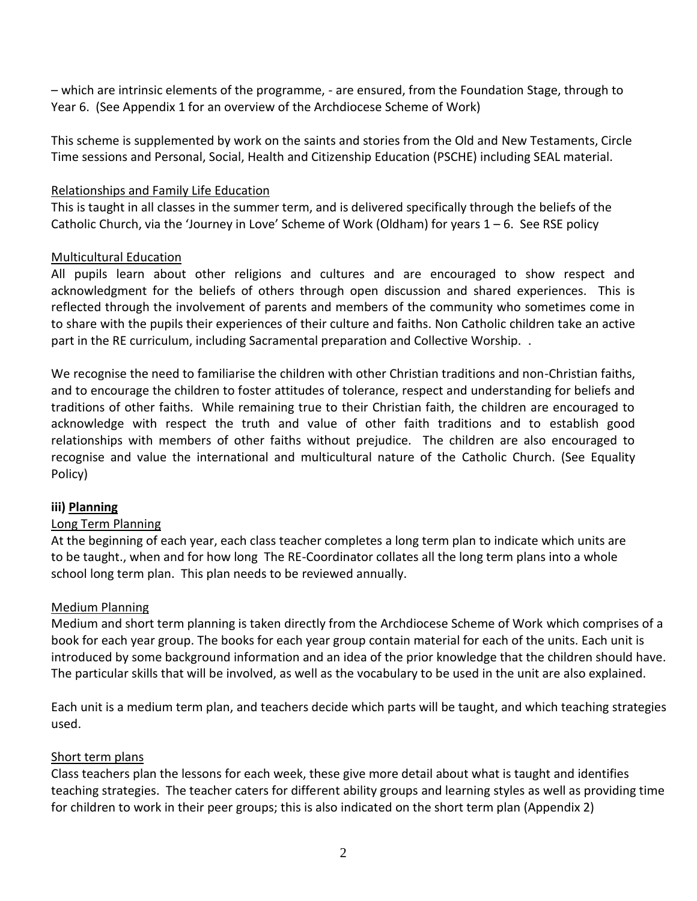– which are intrinsic elements of the programme, - are ensured, from the Foundation Stage, through to Year 6. (See Appendix 1 for an overview of the Archdiocese Scheme of Work)

This scheme is supplemented by work on the saints and stories from the Old and New Testaments, Circle Time sessions and Personal, Social, Health and Citizenship Education (PSCHE) including SEAL material.

#### Relationships and Family Life Education

This is taught in all classes in the summer term, and is delivered specifically through the beliefs of the Catholic Church, via the 'Journey in Love' Scheme of Work (Oldham) for years  $1-6$ . See RSE policy

### Multicultural Education

All pupils learn about other religions and cultures and are encouraged to show respect and acknowledgment for the beliefs of others through open discussion and shared experiences. This is reflected through the involvement of parents and members of the community who sometimes come in to share with the pupils their experiences of their culture and faiths. Non Catholic children take an active part in the RE curriculum, including Sacramental preparation and Collective Worship. .

We recognise the need to familiarise the children with other Christian traditions and non-Christian faiths, and to encourage the children to foster attitudes of tolerance, respect and understanding for beliefs and traditions of other faiths. While remaining true to their Christian faith, the children are encouraged to acknowledge with respect the truth and value of other faith traditions and to establish good relationships with members of other faiths without prejudice. The children are also encouraged to recognise and value the international and multicultural nature of the Catholic Church. (See Equality Policy)

## **iii) Planning**

## Long Term Planning

At the beginning of each year, each class teacher completes a long term plan to indicate which units are to be taught., when and for how long The RE-Coordinator collates all the long term plans into a whole school long term plan. This plan needs to be reviewed annually.

#### Medium Planning

Medium and short term planning is taken directly from the Archdiocese Scheme of Work which comprises of a book for each year group. The books for each year group contain material for each of the units. Each unit is introduced by some background information and an idea of the prior knowledge that the children should have. The particular skills that will be involved, as well as the vocabulary to be used in the unit are also explained.

Each unit is a medium term plan, and teachers decide which parts will be taught, and which teaching strategies used.

#### Short term plans

Class teachers plan the lessons for each week, these give more detail about what is taught and identifies teaching strategies. The teacher caters for different ability groups and learning styles as well as providing time for children to work in their peer groups; this is also indicated on the short term plan (Appendix 2)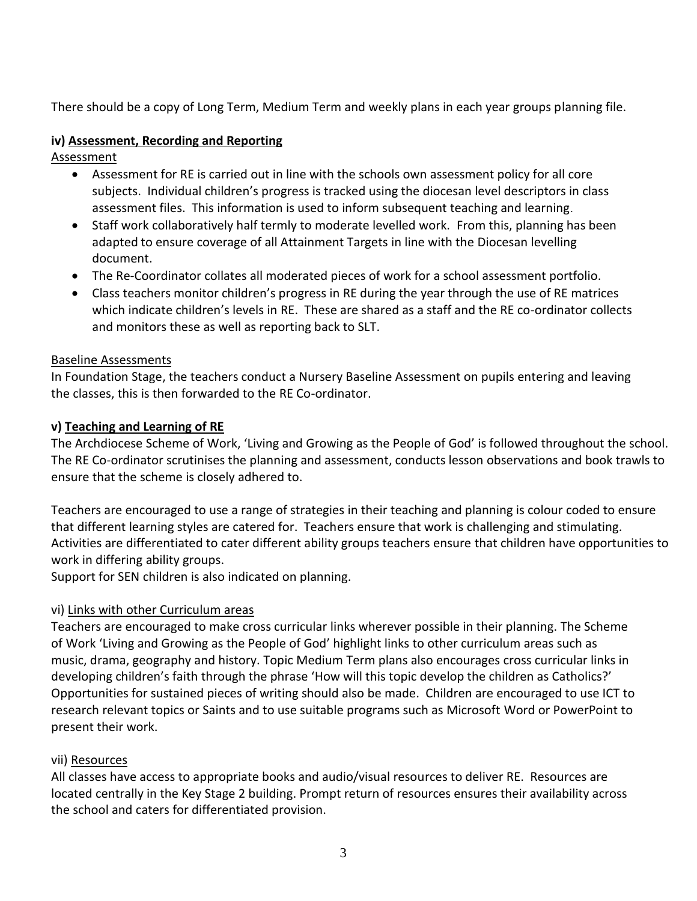There should be a copy of Long Term, Medium Term and weekly plans in each year groups planning file.

### **iv) Assessment, Recording and Reporting**

Assessment

- Assessment for RE is carried out in line with the schools own assessment policy for all core subjects. Individual children's progress is tracked using the diocesan level descriptors in class assessment files. This information is used to inform subsequent teaching and learning.
- Staff work collaboratively half termly to moderate levelled work. From this, planning has been adapted to ensure coverage of all Attainment Targets in line with the Diocesan levelling document.
- The Re-Coordinator collates all moderated pieces of work for a school assessment portfolio.
- Class teachers monitor children's progress in RE during the year through the use of RE matrices which indicate children's levels in RE. These are shared as a staff and the RE co-ordinator collects and monitors these as well as reporting back to SLT.

### Baseline Assessments

In Foundation Stage, the teachers conduct a Nursery Baseline Assessment on pupils entering and leaving the classes, this is then forwarded to the RE Co-ordinator.

### **v) Teaching and Learning of RE**

The Archdiocese Scheme of Work, 'Living and Growing as the People of God' is followed throughout the school. The RE Co-ordinator scrutinises the planning and assessment, conducts lesson observations and book trawls to ensure that the scheme is closely adhered to.

Teachers are encouraged to use a range of strategies in their teaching and planning is colour coded to ensure that different learning styles are catered for. Teachers ensure that work is challenging and stimulating. Activities are differentiated to cater different ability groups teachers ensure that children have opportunities to work in differing ability groups.

Support for SEN children is also indicated on planning.

## vi) Links with other Curriculum areas

Teachers are encouraged to make cross curricular links wherever possible in their planning. The Scheme of Work 'Living and Growing as the People of God' highlight links to other curriculum areas such as music, drama, geography and history. Topic Medium Term plans also encourages cross curricular links in developing children's faith through the phrase 'How will this topic develop the children as Catholics?' Opportunities for sustained pieces of writing should also be made. Children are encouraged to use ICT to research relevant topics or Saints and to use suitable programs such as Microsoft Word or PowerPoint to present their work.

## vii) Resources

All classes have access to appropriate books and audio/visual resources to deliver RE. Resources are located centrally in the Key Stage 2 building. Prompt return of resources ensures their availability across the school and caters for differentiated provision.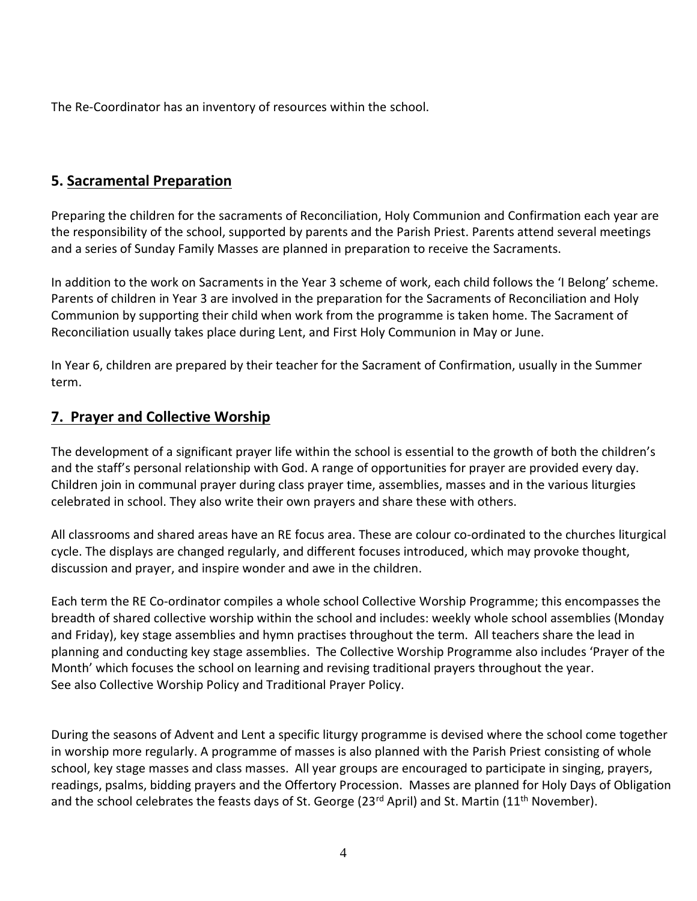The Re-Coordinator has an inventory of resources within the school.

## **5. Sacramental Preparation**

Preparing the children for the sacraments of Reconciliation, Holy Communion and Confirmation each year are the responsibility of the school, supported by parents and the Parish Priest. Parents attend several meetings and a series of Sunday Family Masses are planned in preparation to receive the Sacraments.

In addition to the work on Sacraments in the Year 3 scheme of work, each child follows the 'I Belong' scheme. Parents of children in Year 3 are involved in the preparation for the Sacraments of Reconciliation and Holy Communion by supporting their child when work from the programme is taken home. The Sacrament of Reconciliation usually takes place during Lent, and First Holy Communion in May or June.

In Year 6, children are prepared by their teacher for the Sacrament of Confirmation, usually in the Summer term.

## **7. Prayer and Collective Worship**

The development of a significant prayer life within the school is essential to the growth of both the children's and the staff's personal relationship with God. A range of opportunities for prayer are provided every day. Children join in communal prayer during class prayer time, assemblies, masses and in the various liturgies celebrated in school. They also write their own prayers and share these with others.

All classrooms and shared areas have an RE focus area. These are colour co-ordinated to the churches liturgical cycle. The displays are changed regularly, and different focuses introduced, which may provoke thought, discussion and prayer, and inspire wonder and awe in the children.

Each term the RE Co-ordinator compiles a whole school Collective Worship Programme; this encompasses the breadth of shared collective worship within the school and includes: weekly whole school assemblies (Monday and Friday), key stage assemblies and hymn practises throughout the term. All teachers share the lead in planning and conducting key stage assemblies. The Collective Worship Programme also includes 'Prayer of the Month' which focuses the school on learning and revising traditional prayers throughout the year. See also Collective Worship Policy and Traditional Prayer Policy.

During the seasons of Advent and Lent a specific liturgy programme is devised where the school come together in worship more regularly. A programme of masses is also planned with the Parish Priest consisting of whole school, key stage masses and class masses. All year groups are encouraged to participate in singing, prayers, readings, psalms, bidding prayers and the Offertory Procession. Masses are planned for Holy Days of Obligation and the school celebrates the feasts days of St. George (23<sup>rd</sup> April) and St. Martin (11<sup>th</sup> November).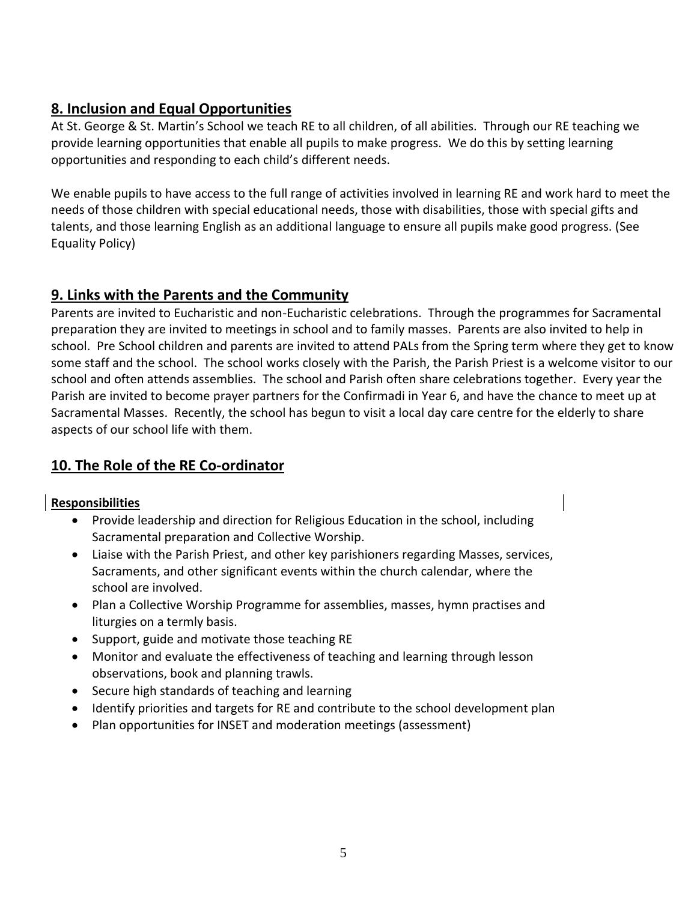# **8. Inclusion and Equal Opportunities**

At St. George & St. Martin's School we teach RE to all children, of all abilities. Through our RE teaching we provide learning opportunities that enable all pupils to make progress. We do this by setting learning opportunities and responding to each child's different needs.

We enable pupils to have access to the full range of activities involved in learning RE and work hard to meet the needs of those children with special educational needs, those with disabilities, those with special gifts and talents, and those learning English as an additional language to ensure all pupils make good progress. (See Equality Policy)

# **9. Links with the Parents and the Community**

Parents are invited to Eucharistic and non-Eucharistic celebrations. Through the programmes for Sacramental preparation they are invited to meetings in school and to family masses. Parents are also invited to help in school. Pre School children and parents are invited to attend PALs from the Spring term where they get to know some staff and the school. The school works closely with the Parish, the Parish Priest is a welcome visitor to our school and often attends assemblies. The school and Parish often share celebrations together. Every year the Parish are invited to become prayer partners for the Confirmadi in Year 6, and have the chance to meet up at Sacramental Masses. Recently, the school has begun to visit a local day care centre for the elderly to share aspects of our school life with them.

# **10. The Role of the RE Co-ordinator**

## **Responsibilities**

- Provide leadership and direction for Religious Education in the school, including Sacramental preparation and Collective Worship.
- Liaise with the Parish Priest, and other key parishioners regarding Masses, services, Sacraments, and other significant events within the church calendar, where the school are involved.
- Plan a Collective Worship Programme for assemblies, masses, hymn practises and liturgies on a termly basis.
- Support, guide and motivate those teaching RE
- Monitor and evaluate the effectiveness of teaching and learning through lesson observations, book and planning trawls.
- Secure high standards of teaching and learning
- Identify priorities and targets for RE and contribute to the school development plan
- Plan opportunities for INSET and moderation meetings (assessment)